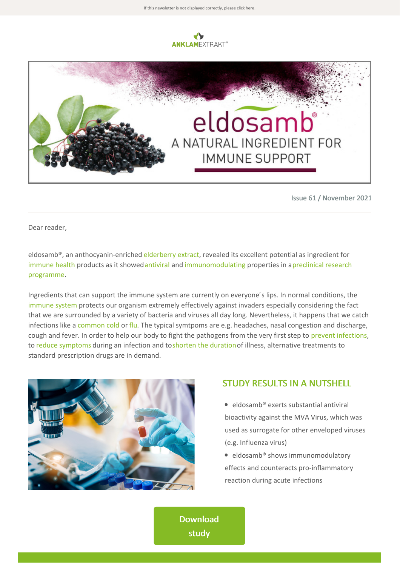



Issue 61 / November 2021

Dear reader,

eldosamb®, an anthocyanin-enriched elderberry extract, revealed its excellent potential as ingredient for immune health products as it showed antiviral and immunomodulating properties in apreclinical research programme.

Ingredients that can support the immune system are currently on everyone´s lips. In normal conditions, the immune system protects our organism extremely effectively against invaders especially considering the fact that we are surrounded by a variety of bacteria and viruses all day long. Nevertheless, it happens that we catch infections like a common cold or flu. The typical symtpoms are e.g. headaches, nasal congestion and discharge, cough and fever. In order to help our body to fight the pathogens from the very first step to prevent infections, to reduce symptoms during an infection and toshorten the durationof illness, alternative treatments to standard prescription drugs are in demand.



## STUDY RESULTS IN A NUTSHELL

- eldosamb® exerts substantial antiviral bioactivity against the MVA Virus, which was used as surrogate for other enveloped viruses (e.g. Influenza virus)
- eldosamb® shows immunomodulatory effects and counteracts pro-inflammatory reaction during acute infections

[Download](https://t94bbed40.emailsys1a.net/c/29/5023289/0/0/0/579735/0e9bef9756.html?testmail=yes) study